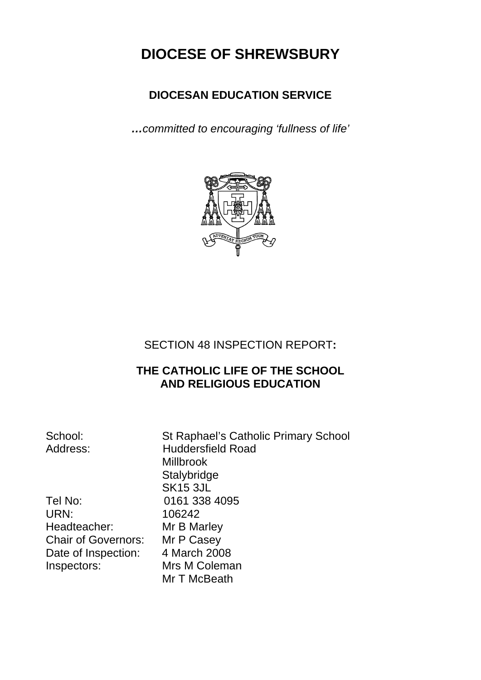# **DIOCESE OF SHREWSBURY**

# **DIOCESAN EDUCATION SERVICE**

*…committed to encouraging 'fullness of life'* 



SECTION 48 INSPECTION REPORT**:** 

# **THE CATHOLIC LIFE OF THE SCHOOL AND RELIGIOUS EDUCATION**

School: St Raphael's Catholic Primary School Address: Huddersfield Road Millbrook **Stalybridge**  SK15 3JL Mr T McBeath

Tel No: 0161 338 4095 URN: 106242 Headteacher: Mr B Marley Chair of Governors: Mr P Casey Date of Inspection: 4 March 2008 Inspectors: Mrs M Coleman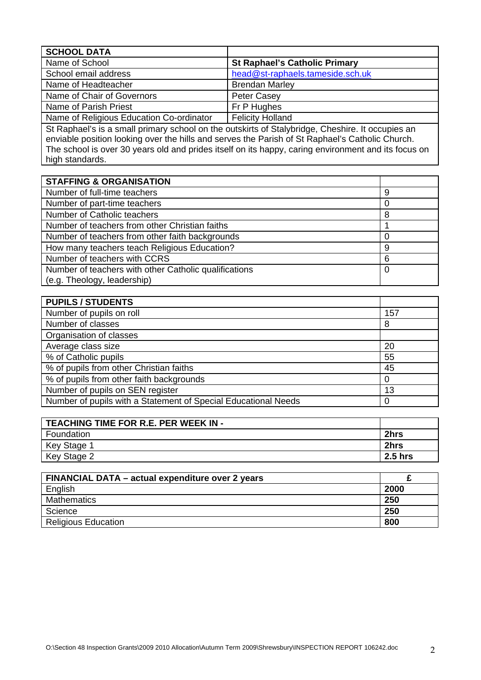| <b>SCHOOL DATA</b>                       |                                      |
|------------------------------------------|--------------------------------------|
| Name of School                           | <b>St Raphael's Catholic Primary</b> |
| School email address                     | head@st-raphaels.tameside.sch.uk     |
| Name of Headteacher                      | <b>Brendan Marley</b>                |
| Name of Chair of Governors               | <b>Peter Casey</b>                   |
| Name of Parish Priest                    | Fr P Hughes                          |
| Name of Religious Education Co-ordinator | <b>Felicity Holland</b>              |

St Raphael's is a small primary school on the outskirts of Stalybridge, Cheshire. It occupies an enviable position looking over the hills and serves the Parish of St Raphael's Catholic Church. The school is over 30 years old and prides itself on its happy, caring environment and its focus on high standards.

| <b>STAFFING &amp; ORGANISATION</b>                    |   |
|-------------------------------------------------------|---|
| Number of full-time teachers                          | 9 |
| Number of part-time teachers                          |   |
| Number of Catholic teachers                           | 8 |
| Number of teachers from other Christian faiths        |   |
| Number of teachers from other faith backgrounds       |   |
| How many teachers teach Religious Education?          | 9 |
| Number of teachers with CCRS                          | 6 |
| Number of teachers with other Catholic qualifications |   |
| (e.g. Theology, leadership)                           |   |

| <b>PUPILS / STUDENTS</b>                                       |     |
|----------------------------------------------------------------|-----|
| Number of pupils on roll                                       | 157 |
| Number of classes                                              | 8   |
| Organisation of classes                                        |     |
| Average class size                                             | 20  |
| % of Catholic pupils                                           | 55  |
| % of pupils from other Christian faiths                        | 45  |
| % of pupils from other faith backgrounds                       |     |
| Number of pupils on SEN register                               | 13  |
| Number of pupils with a Statement of Special Educational Needs |     |

| TEACHING TIME FOR R.E. PER WEEK IN - |                 |
|--------------------------------------|-----------------|
| Foundation                           | 2hrs            |
| Key Stage 1                          | 2hrs            |
| Key Stage 2                          | $\vert$ 2.5 hrs |

| FINANCIAL DATA - actual expenditure over 2 years |      |
|--------------------------------------------------|------|
| English                                          | 2000 |
| <b>Mathematics</b>                               | 250  |
| Science                                          | 250  |
| <b>Religious Education</b>                       | 800  |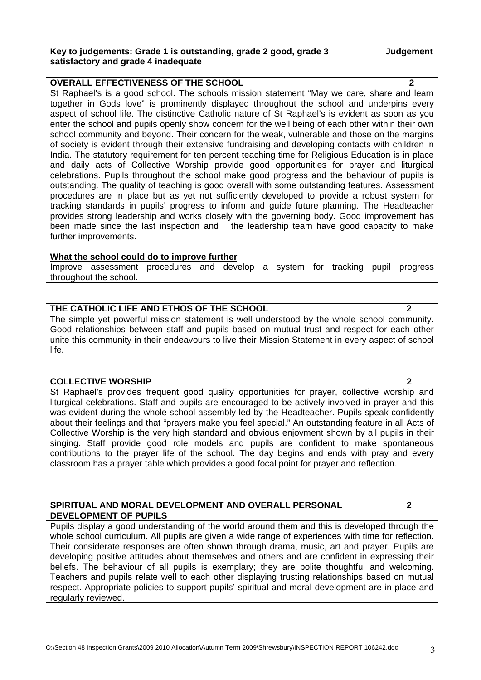| Key to judgements: Grade 1 is outstanding, grade 2 good, grade 3 | Judgement |
|------------------------------------------------------------------|-----------|
| satisfactory and grade 4 inadequate                              |           |

**OVERALL EFFECTIVENESS OF THE SCHOOL 2**  St Raphael's is a good school. The schools mission statement "May we care, share and learn together in Gods love" is prominently displayed throughout the school and underpins every aspect of school life. The distinctive Catholic nature of St Raphael's is evident as soon as you enter the school and pupils openly show concern for the well being of each other within their own school community and beyond. Their concern for the weak, vulnerable and those on the margins of society is evident through their extensive fundraising and developing contacts with children in India. The statutory requirement for ten percent teaching time for Religious Education is in place and daily acts of Collective Worship provide good opportunities for prayer and liturgical celebrations. Pupils throughout the school make good progress and the behaviour of pupils is outstanding. The quality of teaching is good overall with some outstanding features. Assessment procedures are in place but as yet not sufficiently developed to provide a robust system for tracking standards in pupils' progress to inform and guide future planning. The Headteacher provides strong leadership and works closely with the governing body. Good improvement has been made since the last inspection and the leadership team have good capacity to make further improvements.

#### **What the school could do to improve further**

Improve assessment procedures and develop a system for tracking pupil progress throughout the school.

#### **THE CATHOLIC LIFE AND ETHOS OF THE SCHOOL 2**

The simple yet powerful mission statement is well understood by the whole school community. Good relationships between staff and pupils based on mutual trust and respect for each other unite this community in their endeavours to live their Mission Statement in every aspect of school life.

#### **COLLECTIVE WORSHIP 2**

St Raphael's provides frequent good quality opportunities for prayer, collective worship and liturgical celebrations. Staff and pupils are encouraged to be actively involved in prayer and this was evident during the whole school assembly led by the Headteacher. Pupils speak confidently about their feelings and that "prayers make you feel special." An outstanding feature in all Acts of Collective Worship is the very high standard and obvious enjoyment shown by all pupils in their singing. Staff provide good role models and pupils are confident to make spontaneous contributions to the prayer life of the school. The day begins and ends with pray and every classroom has a prayer table which provides a good focal point for prayer and reflection.

#### **SPIRITUAL AND MORAL DEVELOPMENT AND OVERALL PERSONAL DEVELOPMENT OF PUPILS**

**2** 

Pupils display a good understanding of the world around them and this is developed through the whole school curriculum. All pupils are given a wide range of experiences with time for reflection. Their considerate responses are often shown through drama, music, art and prayer. Pupils are developing positive attitudes about themselves and others and are confident in expressing their beliefs. The behaviour of all pupils is exemplary; they are polite thoughtful and welcoming. Teachers and pupils relate well to each other displaying trusting relationships based on mutual respect. Appropriate policies to support pupils' spiritual and moral development are in place and regularly reviewed.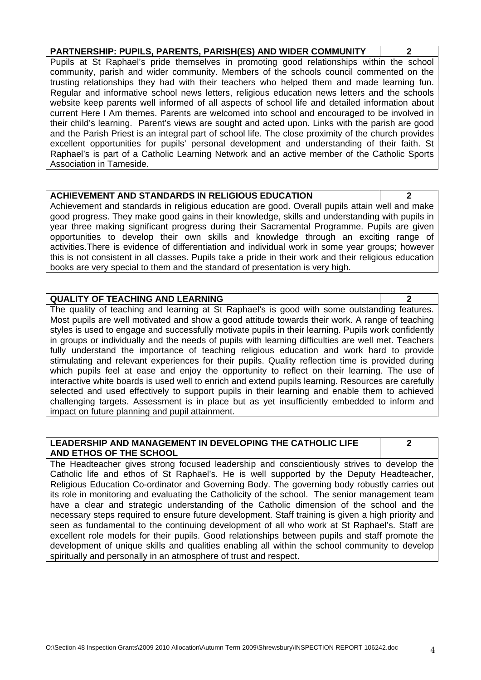O:\Section 48 Inspection Grants\2009 2010 Allocation\Autumn Term 2009\Shrewsbury\INSPECTION REPORT 106242.doc 4

**PARTNERSHIP: PUPILS, PARENTS, PARISH(ES) AND WIDER COMMUNITY 2**  Pupils at St Raphael's pride themselves in promoting good relationships within the school community, parish and wider community. Members of the schools council commented on the trusting relationships they had with their teachers who helped them and made learning fun.

Regular and informative school news letters, religious education news letters and the schools website keep parents well informed of all aspects of school life and detailed information about current Here I Am themes. Parents are welcomed into school and encouraged to be involved in their child's learning. Parent's views are sought and acted upon. Links with the parish are good and the Parish Priest is an integral part of school life. The close proximity of the church provides excellent opportunities for pupils' personal development and understanding of their faith. St Raphael's is part of a Catholic Learning Network and an active member of the Catholic Sports Association in Tameside.

## **ACHIEVEMENT AND STANDARDS IN RELIGIOUS EDUCATION 2**

Achievement and standards in religious education are good. Overall pupils attain well and make good progress. They make good gains in their knowledge, skills and understanding with pupils in year three making significant progress during their Sacramental Programme. Pupils are given opportunities to develop their own skills and knowledge through an exciting range of activities.There is evidence of differentiation and individual work in some year groups; however this is not consistent in all classes. Pupils take a pride in their work and their religious education books are very special to them and the standard of presentation is very high.

## **QUALITY OF TEACHING AND LEARNING 2**

The quality of teaching and learning at St Raphael's is good with some outstanding features. Most pupils are well motivated and show a good attitude towards their work. A range of teaching styles is used to engage and successfully motivate pupils in their learning. Pupils work confidently in groups or individually and the needs of pupils with learning difficulties are well met. Teachers fully understand the importance of teaching religious education and work hard to provide stimulating and relevant experiences for their pupils. Quality reflection time is provided during which pupils feel at ease and enjoy the opportunity to reflect on their learning. The use of interactive white boards is used well to enrich and extend pupils learning. Resources are carefully selected and used effectively to support pupils in their learning and enable them to achieved challenging targets. Assessment is in place but as yet insufficiently embedded to inform and impact on future planning and pupil attainment.

#### **LEADERSHIP AND MANAGEMENT IN DEVELOPING THE CATHOLIC LIFE AND ETHOS OF THE SCHOOL**

**2** 

The Headteacher gives strong focused leadership and conscientiously strives to develop the Catholic life and ethos of St Raphael's. He is well supported by the Deputy Headteacher, Religious Education Co-ordinator and Governing Body. The governing body robustly carries out its role in monitoring and evaluating the Catholicity of the school. The senior management team have a clear and strategic understanding of the Catholic dimension of the school and the necessary steps required to ensure future development. Staff training is given a high priority and seen as fundamental to the continuing development of all who work at St Raphael's. Staff are excellent role models for their pupils. Good relationships between pupils and staff promote the development of unique skills and qualities enabling all within the school community to develop spiritually and personally in an atmosphere of trust and respect.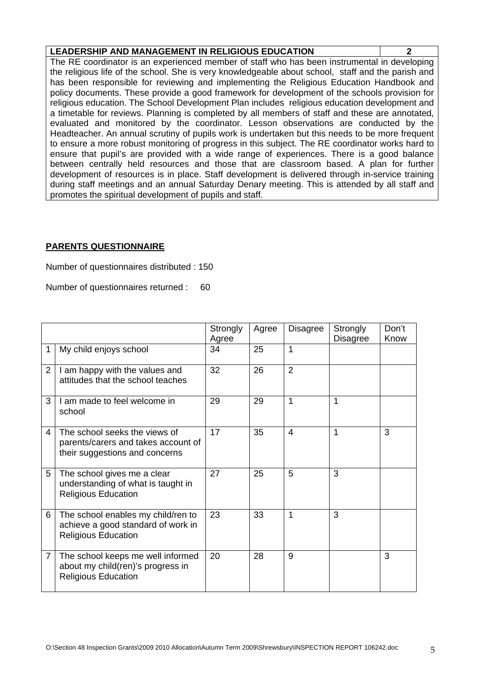|--|

The RE coordinator is an experienced member of staff who has been instrumental in developing the religious life of the school. She is very knowledgeable about school, staff and the parish and has been responsible for reviewing and implementing the Religious Education Handbook and policy documents. These provide a good framework for development of the schools provision for religious education. The School Development Plan includes religious education development and a timetable for reviews. Planning is completed by all members of staff and these are annotated, evaluated and monitored by the coordinator. Lesson observations are conducted by the Headteacher. An annual scrutiny of pupils work is undertaken but this needs to be more frequent to ensure a more robust monitoring of progress in this subject. The RE coordinator works hard to ensure that pupil's are provided with a wide range of experiences. There is a good balance between centrally held resources and those that are classroom based. A plan for further development of resources is in place. Staff development is delivered through in-service training during staff meetings and an annual Saturday Denary meeting. This is attended by all staff and promotes the spiritual development of pupils and staff.

## **PARENTS QUESTIONNAIRE**

Number of questionnaires distributed : 150

Number of questionnaires returned : 60

|                |                                                                                                        | Strongly<br>Agree | Agree | <b>Disagree</b> | Strongly<br><b>Disagree</b> | Don't<br>Know |
|----------------|--------------------------------------------------------------------------------------------------------|-------------------|-------|-----------------|-----------------------------|---------------|
| 1              | My child enjoys school                                                                                 | 34                | 25    | 1               |                             |               |
| $\overline{2}$ | I am happy with the values and<br>attitudes that the school teaches                                    | 32                | 26    | $\overline{2}$  |                             |               |
| 3              | I am made to feel welcome in<br>school                                                                 | 29                | 29    | 1               | 1                           |               |
| 4              | The school seeks the views of<br>parents/carers and takes account of<br>their suggestions and concerns | 17                | 35    | 4               | 1                           | 3             |
| 5              | The school gives me a clear<br>understanding of what is taught in<br><b>Religious Education</b>        | 27                | 25    | 5               | 3                           |               |
| 6              | The school enables my child/ren to<br>achieve a good standard of work in<br><b>Religious Education</b> | 23                | 33    | 1               | 3                           |               |
| $\overline{7}$ | The school keeps me well informed<br>about my child(ren)'s progress in<br><b>Religious Education</b>   | 20                | 28    | 9               |                             | 3             |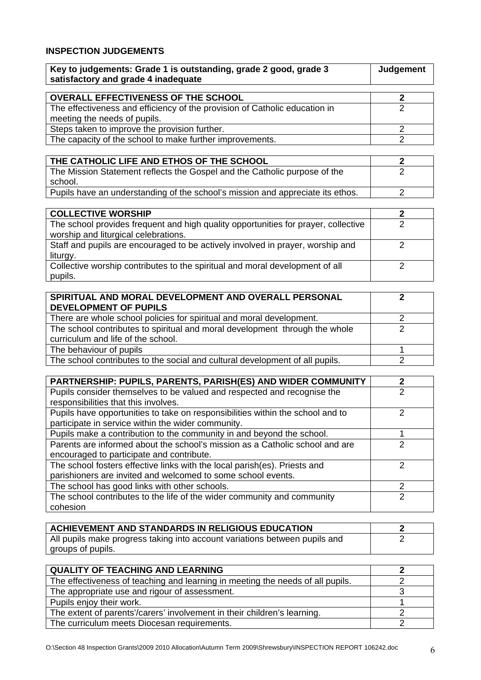# **INSPECTION JUDGEMENTS**

| Key to judgements: Grade 1 is outstanding, grade 2 good, grade 3<br>satisfactory and grade 4 inadequate    | Judgement |
|------------------------------------------------------------------------------------------------------------|-----------|
| <b>OVERALL EFFECTIVENESS OF THE SCHOOL</b>                                                                 |           |
| The effectiveness and efficiency of the provision of Catholic education in<br>meeting the needs of pupils. |           |
| Steps taken to improve the provision further.                                                              |           |
| The capacity of the school to make further improvements.                                                   |           |
|                                                                                                            |           |

 $\overline{\phantom{a}}$ 

| THE CATHOLIC LIFE AND ETHOS OF THE SCHOOL                                      |  |
|--------------------------------------------------------------------------------|--|
| The Mission Statement reflects the Gospel and the Catholic purpose of the      |  |
| school.                                                                        |  |
| Pupils have an understanding of the school's mission and appreciate its ethos. |  |

| <b>COLLECTIVE WORSHIP</b>                                                          |  |
|------------------------------------------------------------------------------------|--|
| The school provides frequent and high quality opportunities for prayer, collective |  |
| worship and liturgical celebrations.                                               |  |
| Staff and pupils are encouraged to be actively involved in prayer, worship and     |  |
| liturgy.                                                                           |  |
| Collective worship contributes to the spiritual and moral development of all       |  |
| pupils.                                                                            |  |

| SPIRITUAL AND MORAL DEVELOPMENT AND OVERALL PERSONAL                         |  |
|------------------------------------------------------------------------------|--|
| <b>DEVELOPMENT OF PUPILS</b>                                                 |  |
| There are whole school policies for spiritual and moral development.         |  |
| The school contributes to spiritual and moral development through the whole  |  |
| curriculum and life of the school.                                           |  |
| The behaviour of pupils                                                      |  |
| The school contributes to the social and cultural development of all pupils. |  |

| <b>PARTNERSHIP: PUPILS, PARENTS, PARISH(ES) AND WIDER COMMUNITY</b>            | 2             |
|--------------------------------------------------------------------------------|---------------|
| Pupils consider themselves to be valued and respected and recognise the        | 2             |
| responsibilities that this involves.                                           |               |
| Pupils have opportunities to take on responsibilities within the school and to | າ             |
| participate in service within the wider community.                             |               |
| Pupils make a contribution to the community in and beyond the school.          |               |
| Parents are informed about the school's mission as a Catholic school and are   | っ             |
| encouraged to participate and contribute.                                      |               |
| The school fosters effective links with the local parish (es). Priests and     | っ             |
| parishioners are invited and welcomed to some school events.                   |               |
| The school has good links with other schools.                                  | 2             |
| The school contributes to the life of the wider community and community        | $\mathcal{P}$ |
| cohesion                                                                       |               |

| <b>ACHIEVEMENT AND STANDARDS IN RELIGIOUS EDUCATION</b>                    |  |
|----------------------------------------------------------------------------|--|
| All pupils make progress taking into account variations between pupils and |  |
| groups of pupils.                                                          |  |

| <b>QUALITY OF TEACHING AND LEARNING</b>                                        |  |
|--------------------------------------------------------------------------------|--|
| The effectiveness of teaching and learning in meeting the needs of all pupils. |  |
| The appropriate use and rigour of assessment.                                  |  |
| Pupils enjoy their work.                                                       |  |
| The extent of parents'/carers' involvement in their children's learning.       |  |
| The curriculum meets Diocesan requirements.                                    |  |